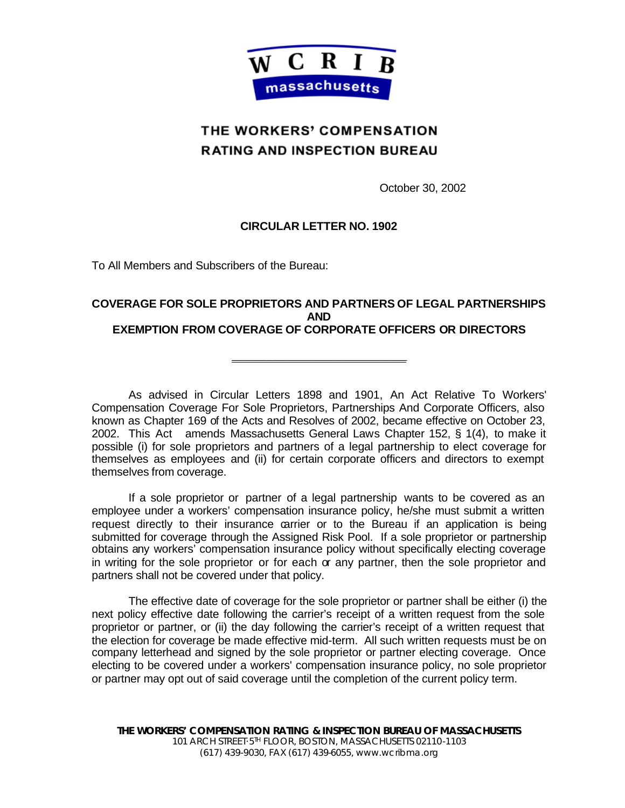

## THE WORKERS' COMPENSATION **RATING AND INSPECTION BUREAU**

October 30, 2002

## **CIRCULAR LETTER NO. 1902**

To All Members and Subscribers of the Bureau:

## **COVERAGE FOR SOLE PROPRIETORS AND PARTNERS OF LEGAL PARTNERSHIPS AND EXEMPTION FROM COVERAGE OF CORPORATE OFFICERS OR DIRECTORS**

**\_\_\_\_\_\_\_\_\_\_\_\_\_\_\_\_\_\_\_\_\_\_\_\_\_\_\_\_**

As advised in Circular Letters 1898 and 1901, An Act Relative To Workers' Compensation Coverage For Sole Proprietors, Partnerships And Corporate Officers, also known as Chapter 169 of the Acts and Resolves of 2002, became effective on October 23, 2002. This Act amends Massachusetts General Laws Chapter 152, § 1(4), to make it possible (i) for sole proprietors and partners of a legal partnership to elect coverage for themselves as employees and (ii) for certain corporate officers and directors to exempt themselves from coverage.

If a sole proprietor or partner of a legal partnership wants to be covered as an employee under a workers' compensation insurance policy, he/she must submit a written request directly to their insurance carrier or to the Bureau if an application is being submitted for coverage through the Assigned Risk Pool. If a sole proprietor or partnership obtains any workers' compensation insurance policy without specifically electing coverage in writing for the sole proprietor or for each or any partner, then the sole proprietor and partners shall not be covered under that policy.

The effective date of coverage for the sole proprietor or partner shall be either (i) the next policy effective date following the carrier's receipt of a written request from the sole proprietor or partner, or (ii) the day following the carrier's receipt of a written request that the election for coverage be made effective mid-term. All such written requests must be on company letterhead and signed by the sole proprietor or partner electing coverage. Once electing to be covered under a workers' compensation insurance policy, no sole proprietor or partner may opt out of said coverage until the completion of the current policy term.